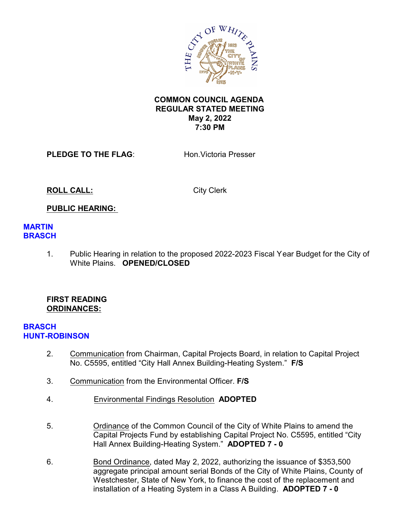

### **COMMON COUNCIL AGENDA REGULAR STATED MEETING May 2, 2022 7:30 PM**

**PLEDGE TO THE FLAG:** Hon. Victoria Presser

**ROLL CALL:** City Clerk

### **PUBLIC HEARING:**

#### **MARTIN BRASCH**

1. Public Hearing in relation to the proposed 2022-2023 Fiscal Year Budget for the City of White Plains. **OPENED/CLOSED**

#### **FIRST READING ORDINANCES:**

#### **BRASCH HUNT-ROBINSON**

- 2. Communication from Chairman, Capital Projects Board, in relation to Capital Project No. C5595, entitled "City Hall Annex Building-Heating System." **F/S**
- 3. Communication from the Environmental Officer. **F/S**
- 4. Environmental Findings Resolution **ADOPTED**
- 5. Ordinance of the Common Council of the City of White Plains to amend the Capital Projects Fund by establishing Capital Project No. C5595, entitled "City Hall Annex Building-Heating System." **ADOPTED 7 - 0**
- 6. Bond Ordinance, dated May 2, 2022, authorizing the issuance of \$353,500 aggregate principal amount serial Bonds of the City of White Plains, County of Westchester, State of New York, to finance the cost of the replacement and installation of a Heating System in a Class A Building. **ADOPTED 7 - 0**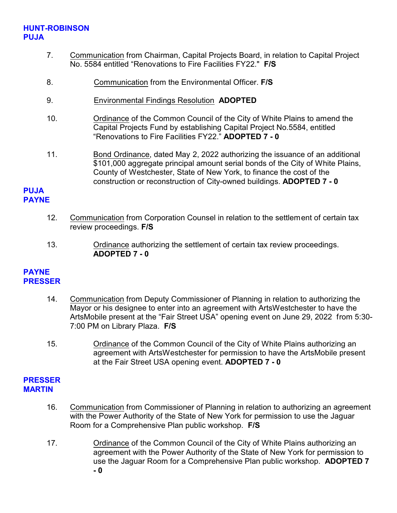# **HUNT-ROBINSON PUJA**

- 7. Communication from Chairman, Capital Projects Board, in relation to Capital Project No. 5584 entitled "Renovations to Fire Facilities FY22." **F/S**
- 8. Communication from the Environmental Officer. **F/S**
- 9. Environmental Findings Resolution **ADOPTED**
- 10. Ordinance of the Common Council of the City of White Plains to amend the Capital Projects Fund by establishing Capital Project No.5584, entitled "Renovations to Fire Facilities FY22." **ADOPTED 7 - 0**
- 11. Bond Ordinance, dated May 2, 2022 authorizing the issuance of an additional \$101,000 aggregate principal amount serial bonds of the City of White Plains, County of Westchester, State of New York, to finance the cost of the construction or reconstruction of City-owned buildings. **ADOPTED 7 - 0**

#### **PUJA PAYNE**

- 12. Communication from Corporation Counsel in relation to the settlement of certain tax review proceedings. **F/S**
- 13. Ordinance authorizing the settlement of certain tax review proceedings. **ADOPTED 7 - 0**

#### **PAYNE PRESSER**

- 14. Communication from Deputy Commissioner of Planning in relation to authorizing the Mayor or his designee to enter into an agreement with ArtsWestchester to have the ArtsMobile present at the "Fair Street USA" opening event on June 29, 2022 from 5:30- 7:00 PM on Library Plaza. **F/S**
- 15. Ordinance of the Common Council of the City of White Plains authorizing an agreement with ArtsWestchester for permission to have the ArtsMobile present at the Fair Street USA opening event. **ADOPTED 7 - 0**

### **PRESSER MARTIN**

- 16. Communication from Commissioner of Planning in relation to authorizing an agreement with the Power Authority of the State of New York for permission to use the Jaguar Room for a Comprehensive Plan public workshop. **F/S**
- 17. Ordinance of the Common Council of the City of White Plains authorizing an agreement with the Power Authority of the State of New York for permission to use the Jaguar Room for a Comprehensive Plan public workshop. **ADOPTED 7 - 0**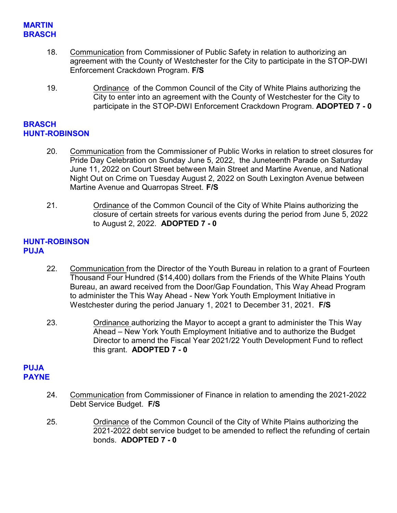### **MARTIN BRASCH**

- 18. Communication from Commissioner of Public Safety in relation to authorizing an agreement with the County of Westchester for the City to participate in the STOP-DWI Enforcement Crackdown Program. **F/S**
- 19. Ordinance of the Common Council of the City of White Plains authorizing the City to enter into an agreement with the County of Westchester for the City to participate in the STOP-DWI Enforcement Crackdown Program. **ADOPTED 7 - 0**

#### **BRASCH HUNT-ROBINSON**

- 20. Communication from the Commissioner of Public Works in relation to street closures for Pride Day Celebration on Sunday June 5, 2022, the Juneteenth Parade on Saturday June 11, 2022 on Court Street between Main Street and Martine Avenue, and National Night Out on Crime on Tuesday August 2, 2022 on South Lexington Avenue between Martine Avenue and Quarropas Street. **F/S**
- 21. Ordinance of the Common Council of the City of White Plains authorizing the closure of certain streets for various events during the period from June 5, 2022 to August 2, 2022. **ADOPTED 7 - 0**

### **HUNT-ROBINSON PUJA**

- 22. Communication from the Director of the Youth Bureau in relation to a grant of Fourteen Thousand Four Hundred (\$14,400) dollars from the Friends of the White Plains Youth Bureau, an award received from the Door/Gap Foundation, This Way Ahead Program to administer the This Way Ahead - New York Youth Employment Initiative in Westchester during the period January 1, 2021 to December 31, 2021. **F/S**
- 23. Ordinance authorizing the Mayor to accept a grant to administer the This Way Ahead – New York Youth Employment Initiative and to authorize the Budget Director to amend the Fiscal Year 2021/22 Youth Development Fund to reflect this grant. **ADOPTED 7 - 0**

### **PUJA PAYNE**

- 24. Communication from Commissioner of Finance in relation to amending the 2021-2022 Debt Service Budget. **F/S**
- 25. Ordinance of the Common Council of the City of White Plains authorizing the 2021-2022 debt service budget to be amended to reflect the refunding of certain bonds. **ADOPTED 7 - 0**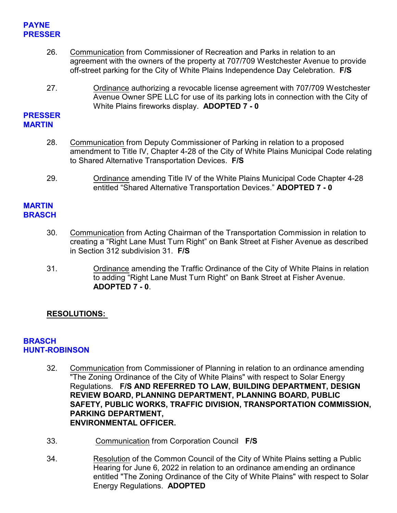### **PAYNE PRESSER**

- 26. Communication from Commissioner of Recreation and Parks in relation to an agreement with the owners of the property at 707/709 Westchester Avenue to provide off-street parking for the City of White Plains Independence Day Celebration. **F/S**
- 27. Ordinance authorizing a revocable license agreement with 707/709 Westchester Avenue Owner SPE LLC for use of its parking lots in connection with the City of White Plains fireworks display. **ADOPTED 7 - 0**

### **PRESSER MARTIN**

- 28. Communication from Deputy Commissioner of Parking in relation to a proposed amendment to Title IV, Chapter 4-28 of the City of White Plains Municipal Code relating to Shared Alternative Transportation Devices. **F/S**
- 29. Ordinance amending Title IV of the White Plains Municipal Code Chapter 4-28 entitled "Shared Alternative Transportation Devices." **ADOPTED 7 - 0**

# **MARTIN BRASCH**

- 30. Communication from Acting Chairman of the Transportation Commission in relation to creating a "Right Lane Must Turn Right" on Bank Street at Fisher Avenue as described in Section 312 subdivision 31. **F/S**
- 31. Ordinance amending the Traffic Ordinance of the City of White Plains in relation to adding "Right Lane Must Turn Right" on Bank Street at Fisher Avenue. **ADOPTED 7 - 0**.

# **RESOLUTIONS:**

### **BRASCH HUNT-ROBINSON**

- 32. Communication from Commissioner of Planning in relation to an ordinance amending "The Zoning Ordinance of the City of White Plains" with respect to Solar Energy Regulations. **F/S AND REFERRED TO LAW, BUILDING DEPARTMENT, DESIGN REVIEW BOARD, PLANNING DEPARTMENT, PLANNING BOARD, PUBLIC SAFETY, PUBLIC WORKS, TRAFFIC DIVISION, TRANSPORTATION COMMISSION, PARKING DEPARTMENT, ENVIRONMENTAL OFFICER.**
- 33. Communication from Corporation Council **F/S**
- 34. Resolution of the Common Council of the City of White Plains setting a Public Hearing for June 6, 2022 in relation to an ordinance amending an ordinance entitled "The Zoning Ordinance of the City of White Plains" with respect to Solar Energy Regulations. **ADOPTED**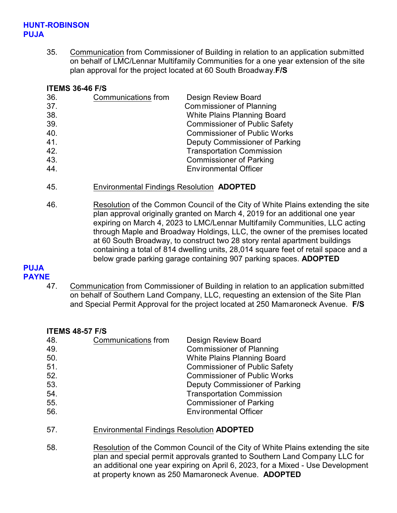### **HUNT-ROBINSON PUJA**

35. Communication from Commissioner of Building in relation to an application submitted on behalf of LMC/Lennar Multifamily Communities for a one year extension of the site plan approval for the project located at 60 South Broadway.**F/S**

#### **ITEMS 36-46 F/S**

| 36. | Communications from | <b>Design Review Board</b>           |
|-----|---------------------|--------------------------------------|
| 37. |                     | <b>Commissioner of Planning</b>      |
| 38. |                     | <b>White Plains Planning Board</b>   |
| 39. |                     | <b>Commissioner of Public Safety</b> |
| 40. |                     | <b>Commissioner of Public Works</b>  |
| 41. |                     | Deputy Commissioner of Parking       |
| 42. |                     | <b>Transportation Commission</b>     |
| 43. |                     | <b>Commissioner of Parking</b>       |
| 44. |                     | <b>Environmental Officer</b>         |

- 45. Environmental Findings Resolution **ADOPTED**
- 46. Resolution of the Common Council of the City of White Plains extending the site plan approval originally granted on March 4, 2019 for an additional one year expiring on March 4, 2023 to LMC/Lennar Multifamily Communities, LLC acting through Maple and Broadway Holdings, LLC, the owner of the premises located at 60 South Broadway, to construct two 28 story rental apartment buildings containing a total of 814 dwelling units, 28,014 square feet of retail space and a below grade parking garage containing 907 parking spaces. **ADOPTED**

# **PUJA**

#### **PAYNE**

47. Communication from Commissioner of Building in relation to an application submitted on behalf of Southern Land Company, LLC, requesting an extension of the Site Plan and Special Permit Approval for the project located at 250 Mamaroneck Avenue. **F/S**

#### **ITEMS 48-57 F/S**

| 48. | Communications from | <b>Design Review Board</b>           |
|-----|---------------------|--------------------------------------|
| 49. |                     | Commissioner of Planning             |
| 50. |                     | <b>White Plains Planning Board</b>   |
| 51. |                     | <b>Commissioner of Public Safety</b> |
| 52. |                     | <b>Commissioner of Public Works</b>  |
| 53. |                     | Deputy Commissioner of Parking       |
| 54. |                     | <b>Transportation Commission</b>     |
| 55. |                     | <b>Commissioner of Parking</b>       |
| 56. |                     | <b>Environmental Officer</b>         |

- 57. Environmental Findings Resolution **ADOPTED**
- 58. Resolution of the Common Council of the City of White Plains extending the site plan and special permit approvals granted to Southern Land Company LLC for an additional one year expiring on April 6, 2023, for a Mixed - Use Development at property known as 250 Mamaroneck Avenue. **ADOPTED**